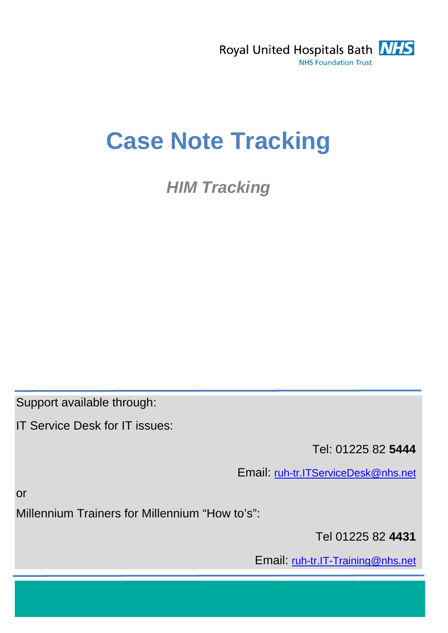

# **Case Note Tracking**

*HIM Tracking*

Support available through:

IT Service Desk for IT issues:

Tel: 01225 82 **5444** 

Email: [ruh-tr.ITServiceDesk@nhs.net](mailto:ruh-tr.ITServiceDesk@nhs.net)

or

Millennium Trainers for Millennium "How to's":

Tel 01225 82 **4431** 

Email: ruh-tr.IT-Training@nhs.net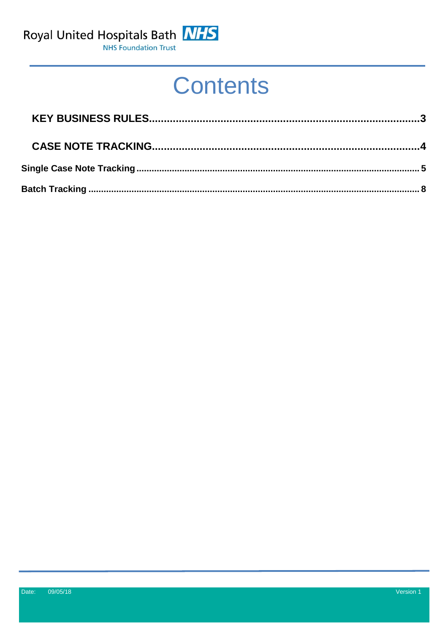

**Contents**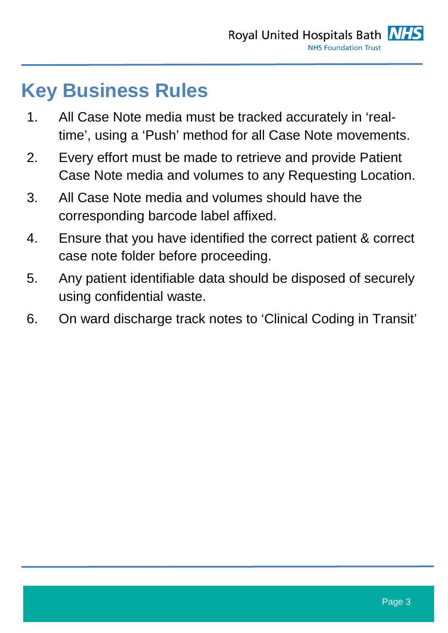### <span id="page-2-0"></span>**Key Business Rules**

- 1. All Case Note media must be tracked accurately in 'realtime', using a 'Push' method for all Case Note movements.
- 2. Every effort must be made to retrieve and provide Patient Case Note media and volumes to any Requesting Location.
- 3. All Case Note media and volumes should have the corresponding barcode label affixed.
- 4. Ensure that you have identified the correct patient & correct case note folder before proceeding.
- 5. Any patient identifiable data should be disposed of securely using confidential waste.
- 6. On ward discharge track notes to 'Clinical Coding in Transit'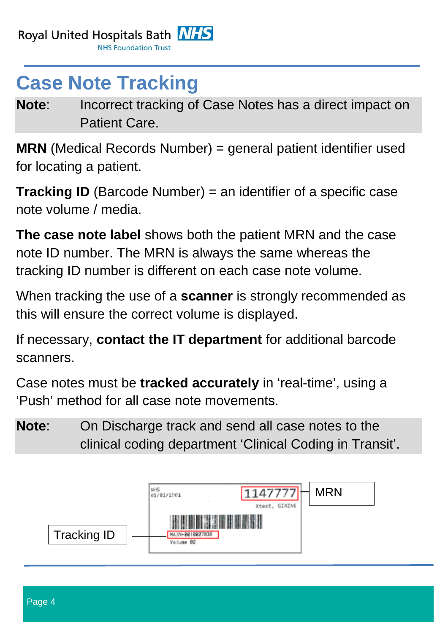## <span id="page-3-0"></span>**Case Note Tracking**

**Note:** Incorrect tracking of Case Notes has a direct impact on Patient Care.

**MRN** (Medical Records Number) = general patient identifier used for locating a patient.

**Tracking ID** (Barcode Number) = an identifier of a specific case note volume / media.

**The case note label** shows both the patient MRN and the case note ID number. The MRN is always the same whereas the tracking ID number is different on each case note volume.

When tracking the use of a **scanner** is strongly recommended as this will ensure the correct volume is displayed.

If necessary, **contact the IT department** for additional barcode scanners.

Case notes must be **tracked accurately** in 'real-time', using a 'Push' method for all case note movements.

**Note**: On Discharge track and send all case notes to the clinical coding department 'Clinical Coding in Transit'.

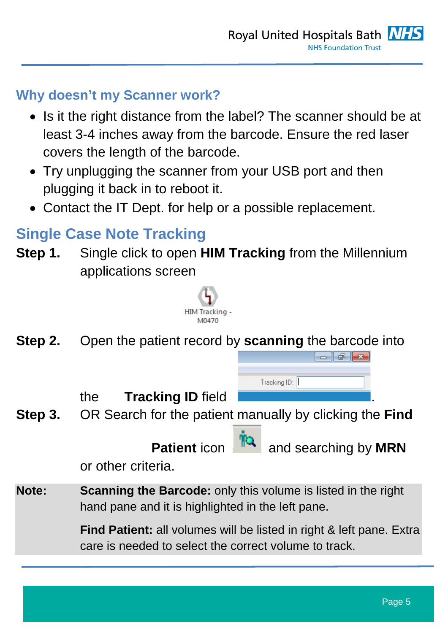#### **Why doesn't my Scanner work?**

- Is it the right distance from the label? The scanner should be at least 3-4 inches away from the barcode. Ensure the red laser covers the length of the barcode.
- Try unplugging the scanner from your USB port and then plugging it back in to reboot it.
- Contact the IT Dept. for help or a possible replacement.

#### <span id="page-4-0"></span>**Single Case Note Tracking**

**Step 1.** Single click to open **HIM Tracking** from the Millennium applications screen



**Step 2.** Open the patient record by **scanning** the barcode into

the **Tracking ID** field .

**Step 3.** OR Search for the patient manually by clicking the **Find** 

**Patient** icon **Institute** and searching by **MRN** 

 $\Box$   $\Box$   $\mathbf{x}$ 

or other criteria.

**Note: Scanning the Barcode:** only this volume is listed in the right hand pane and it is highlighted in the left pane.

> **Find Patient:** all volumes will be listed in right & left pane. Extra care is needed to select the correct volume to track.

Tracking ID: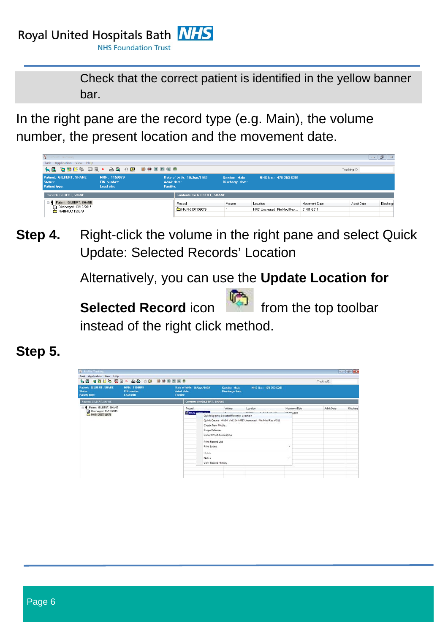Royal United Hospitals Bath **NHS** 

**NHS Foundation Trust** 

Check that the correct patient is identified in the yellow banner bar.

In the right pane are the record type (e.g. Main), the volume number, the present location and the movement date.



**Step 4.** Right-click the volume in the right pane and select Quick Update: Selected Records' Location

Alternatively, you can use the **Update Location for** 



**Step 5.**

| <b>W</b> Profile: Tracking<br>Task Application View Help          |                                                                                    |                                                               |                                                                                                                                                                   |                                                                                                |                                 |              | For 1-69-1-69 |
|-------------------------------------------------------------------|------------------------------------------------------------------------------------|---------------------------------------------------------------|-------------------------------------------------------------------------------------------------------------------------------------------------------------------|------------------------------------------------------------------------------------------------|---------------------------------|--------------|---------------|
| Patient: GILBERT, SHANE<br><b>Status:</b><br><b>Patient type:</b> | <b>NE ZDER WEX AA ON WORKS</b><br>MRN: 1159079<br><b>FIN</b> number:<br>Lead clin: | Date of birth: 10/Jun/1982<br>Admit date:<br><b>Facility:</b> | Gender: Male<br>Discharge date:                                                                                                                                   | NHS No.: 478-253-6291                                                                          |                                 | Tracking ID: |               |
| Records: GILBERT, SHANE                                           |                                                                                    |                                                               | <b>Contents Tor GILBERT, SHANE</b>                                                                                                                                |                                                                                                |                                 |              |               |
| B Patient GILBERT, SHANE<br>Discharged 13/10/2015                 |                                                                                    | Record<br>MAIN COOLSECORD                                     | Volume<br><b>Little College</b><br>Quick Update: Selected Records' Location<br>Create New Media<br>Purge Volumes<br>Record/Visit Association<br>Print Record List | Location<br>APPLIE A LITTLE ID<br>Quick Create: MAIN Vol 2 In MRD Uncreated File Med Rec x4511 | Movement Date<br>$-08.424/2011$ | Admit Date   | Discharg      |
|                                                                   |                                                                                    |                                                               | Print Labels<br>Holds<br>Notes<br>View Record History                                                                                                             |                                                                                                | ٠<br>٠                          |              |               |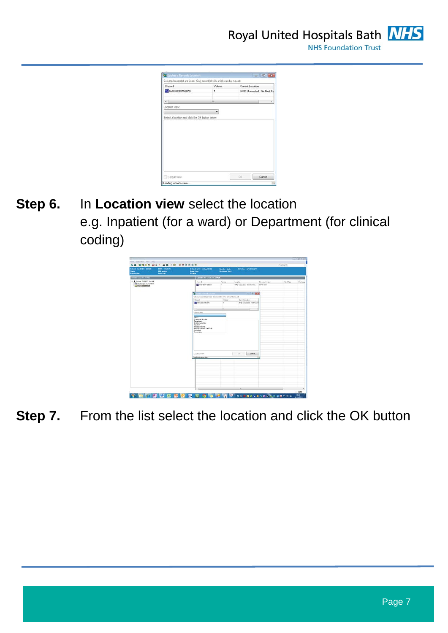

Royal United Hospitals Bath NHS **NHS Foundation Trust** 



**Step 6.** In **Location view** select the location e.g. Inpatient (for a ward) or Department (for clinical coding)

| Resorts-Storiett, GARK<br><b>Tarimis for GLUERT, SILVER</b><br>Record.<br><b>Values</b><br>Lickie<br>Nowawi Zale<br>Aded Date<br><sup>1</sup> Dichergio 13/10/2015<br><b>BE</b> WARN ADDRESSED 5<br>NRD Departed F& Neither<br>05/05/2011<br>$\mathbf{I}$<br><b>CONFIDENTIAL</b><br><b>STATISTICS</b><br><b>Car 140 MM</b><br>Salemd record) as lead. One results with a lab can be moved<br><b>Flexand</b><br>Viter<br>Centinodes<br><b>MINNOSOTIONS</b><br>1400 Drawinal Tachiardia<br>٠<br>$\rightarrow$<br>۰.<br>Location aims<br>. .<br>Cyan<br>Connexh Nocket<br>Decast sense<br>Externi Location<br>Inpotent<br>Medca <sup>18</sup> scorts<br>Mesca Report Lighthdy<br><b>Outprient</b><br>Snowweg<br>130.00<br><b>Link Cancel</b><br>[] Detail view<br><b>Londary book at sames</b> | P.Tu<br>a. | <b>Palmer GILBERT SHARE</b><br><b>Sales</b><br><b>Fation taxe</b> | MIDE ESSAITS<br><b>TBI</b> sushine<br>Lead cin | <b>Date of both: 107/ww/1102</b><br>Adruit Kake<br><b>Facility</b> | <b>Gender Male</b><br><b>Skechange date:</b> | <b>NH1 No. 675-2536211</b> |  |         |
|---------------------------------------------------------------------------------------------------------------------------------------------------------------------------------------------------------------------------------------------------------------------------------------------------------------------------------------------------------------------------------------------------------------------------------------------------------------------------------------------------------------------------------------------------------------------------------------------------------------------------------------------------------------------------------------------------------------------------------------------------------------------------------------------|------------|-------------------------------------------------------------------|------------------------------------------------|--------------------------------------------------------------------|----------------------------------------------|----------------------------|--|---------|
| E & Paws DUIDO, SVINC                                                                                                                                                                                                                                                                                                                                                                                                                                                                                                                                                                                                                                                                                                                                                                       |            |                                                                   |                                                |                                                                    |                                              |                            |  |         |
|                                                                                                                                                                                                                                                                                                                                                                                                                                                                                                                                                                                                                                                                                                                                                                                             |            |                                                                   |                                                |                                                                    |                                              |                            |  | Distant |
|                                                                                                                                                                                                                                                                                                                                                                                                                                                                                                                                                                                                                                                                                                                                                                                             |            |                                                                   |                                                |                                                                    |                                              |                            |  |         |
|                                                                                                                                                                                                                                                                                                                                                                                                                                                                                                                                                                                                                                                                                                                                                                                             |            |                                                                   |                                                |                                                                    |                                              |                            |  |         |
|                                                                                                                                                                                                                                                                                                                                                                                                                                                                                                                                                                                                                                                                                                                                                                                             |            |                                                                   |                                                |                                                                    |                                              |                            |  |         |
|                                                                                                                                                                                                                                                                                                                                                                                                                                                                                                                                                                                                                                                                                                                                                                                             |            |                                                                   |                                                |                                                                    |                                              |                            |  |         |
|                                                                                                                                                                                                                                                                                                                                                                                                                                                                                                                                                                                                                                                                                                                                                                                             |            |                                                                   |                                                |                                                                    |                                              |                            |  |         |
|                                                                                                                                                                                                                                                                                                                                                                                                                                                                                                                                                                                                                                                                                                                                                                                             |            |                                                                   |                                                |                                                                    |                                              |                            |  |         |
|                                                                                                                                                                                                                                                                                                                                                                                                                                                                                                                                                                                                                                                                                                                                                                                             |            |                                                                   |                                                |                                                                    |                                              |                            |  |         |
|                                                                                                                                                                                                                                                                                                                                                                                                                                                                                                                                                                                                                                                                                                                                                                                             |            |                                                                   |                                                |                                                                    |                                              |                            |  |         |
|                                                                                                                                                                                                                                                                                                                                                                                                                                                                                                                                                                                                                                                                                                                                                                                             |            |                                                                   |                                                |                                                                    |                                              |                            |  |         |
|                                                                                                                                                                                                                                                                                                                                                                                                                                                                                                                                                                                                                                                                                                                                                                                             |            |                                                                   |                                                |                                                                    |                                              |                            |  |         |
|                                                                                                                                                                                                                                                                                                                                                                                                                                                                                                                                                                                                                                                                                                                                                                                             |            |                                                                   |                                                |                                                                    |                                              |                            |  |         |
|                                                                                                                                                                                                                                                                                                                                                                                                                                                                                                                                                                                                                                                                                                                                                                                             |            |                                                                   |                                                |                                                                    |                                              |                            |  |         |
|                                                                                                                                                                                                                                                                                                                                                                                                                                                                                                                                                                                                                                                                                                                                                                                             |            |                                                                   |                                                |                                                                    |                                              |                            |  |         |
|                                                                                                                                                                                                                                                                                                                                                                                                                                                                                                                                                                                                                                                                                                                                                                                             |            |                                                                   |                                                |                                                                    |                                              |                            |  |         |
|                                                                                                                                                                                                                                                                                                                                                                                                                                                                                                                                                                                                                                                                                                                                                                                             |            |                                                                   |                                                |                                                                    |                                              |                            |  |         |
|                                                                                                                                                                                                                                                                                                                                                                                                                                                                                                                                                                                                                                                                                                                                                                                             |            |                                                                   |                                                |                                                                    |                                              |                            |  |         |
|                                                                                                                                                                                                                                                                                                                                                                                                                                                                                                                                                                                                                                                                                                                                                                                             |            |                                                                   |                                                |                                                                    |                                              |                            |  |         |
|                                                                                                                                                                                                                                                                                                                                                                                                                                                                                                                                                                                                                                                                                                                                                                                             |            |                                                                   |                                                |                                                                    |                                              |                            |  |         |
|                                                                                                                                                                                                                                                                                                                                                                                                                                                                                                                                                                                                                                                                                                                                                                                             |            |                                                                   |                                                |                                                                    |                                              |                            |  |         |
|                                                                                                                                                                                                                                                                                                                                                                                                                                                                                                                                                                                                                                                                                                                                                                                             |            |                                                                   |                                                |                                                                    |                                              |                            |  |         |
|                                                                                                                                                                                                                                                                                                                                                                                                                                                                                                                                                                                                                                                                                                                                                                                             |            |                                                                   |                                                |                                                                    |                                              |                            |  |         |
|                                                                                                                                                                                                                                                                                                                                                                                                                                                                                                                                                                                                                                                                                                                                                                                             |            |                                                                   |                                                |                                                                    |                                              |                            |  |         |
|                                                                                                                                                                                                                                                                                                                                                                                                                                                                                                                                                                                                                                                                                                                                                                                             |            |                                                                   |                                                |                                                                    |                                              |                            |  |         |
|                                                                                                                                                                                                                                                                                                                                                                                                                                                                                                                                                                                                                                                                                                                                                                                             |            |                                                                   |                                                |                                                                    |                                              |                            |  |         |
|                                                                                                                                                                                                                                                                                                                                                                                                                                                                                                                                                                                                                                                                                                                                                                                             |            |                                                                   |                                                |                                                                    |                                              |                            |  |         |
|                                                                                                                                                                                                                                                                                                                                                                                                                                                                                                                                                                                                                                                                                                                                                                                             |            |                                                                   |                                                |                                                                    |                                              |                            |  |         |
|                                                                                                                                                                                                                                                                                                                                                                                                                                                                                                                                                                                                                                                                                                                                                                                             |            |                                                                   |                                                |                                                                    |                                              |                            |  |         |
|                                                                                                                                                                                                                                                                                                                                                                                                                                                                                                                                                                                                                                                                                                                                                                                             |            |                                                                   |                                                |                                                                    |                                              |                            |  |         |
|                                                                                                                                                                                                                                                                                                                                                                                                                                                                                                                                                                                                                                                                                                                                                                                             |            |                                                                   |                                                |                                                                    |                                              |                            |  |         |
|                                                                                                                                                                                                                                                                                                                                                                                                                                                                                                                                                                                                                                                                                                                                                                                             |            |                                                                   |                                                |                                                                    |                                              |                            |  |         |
|                                                                                                                                                                                                                                                                                                                                                                                                                                                                                                                                                                                                                                                                                                                                                                                             |            |                                                                   |                                                |                                                                    |                                              |                            |  |         |
|                                                                                                                                                                                                                                                                                                                                                                                                                                                                                                                                                                                                                                                                                                                                                                                             |            |                                                                   |                                                |                                                                    |                                              |                            |  |         |

**Step 7.** From the list select the location and click the OK button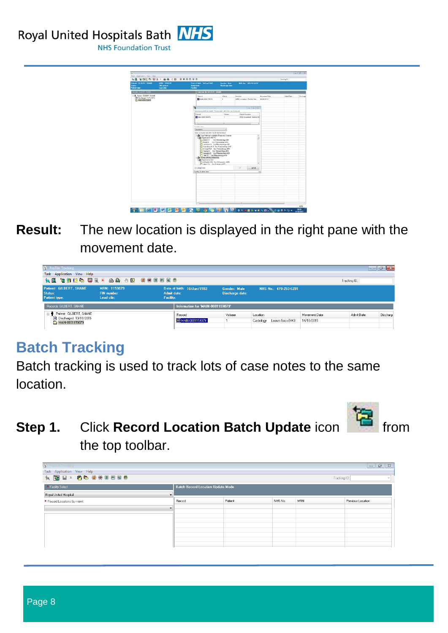Royal United Hospitals Bath NHS



**Result:** The new location is displayed in the right pane with the movement date.

| <b>S</b> ProFile: Tracking                                                     |                                           |                          |                                   |                                 |                                           |                             |              | $\begin{array}{c c c c c} \hline \multicolumn{3}{c }{\mathbf{0}} & \multicolumn{3}{c }{\mathbf{0}} & \multicolumn{3}{c }{\mathbf{X}} \\\hline \multicolumn{3}{c }{\mathbf{0}} & \multicolumn{3}{c }{\mathbf{0}} & \multicolumn{3}{c }{\mathbf{0}} & \multicolumn{3}{c }{\mathbf{X}} \\\hline \multicolumn{3}{c }{\mathbf{0}} & \multicolumn{3}{c }{\mathbf{0}} & \multicolumn{3}{c }{\mathbf{0}} & \multicolumn{3}{c }{\mathbf{X}} \\\hline \multicolumn{3$ |
|--------------------------------------------------------------------------------|-------------------------------------------|--------------------------|-----------------------------------|---------------------------------|-------------------------------------------|-----------------------------|--------------|-------------------------------------------------------------------------------------------------------------------------------------------------------------------------------------------------------------------------------------------------------------------------------------------------------------------------------------------------------------------------------------------------------------------------------------------------------------|
| Task Application View Help<br>化图 右胸凹的 用日× 凸齿 小皮 手骨用用条骨                         |                                           |                          |                                   |                                 |                                           |                             | Tracking ID: |                                                                                                                                                                                                                                                                                                                                                                                                                                                             |
| Patient: GILBERT, SHANE<br>Status:<br>Patient type:                            | MRN: 1159079<br>FIN number:<br>Lead clin: | Admit date:<br>Facility: | Date of birth: 10/Jun/1982        | Gender: Male<br>Discharge date: | NHS No.: 478-253-6291                     |                             |              |                                                                                                                                                                                                                                                                                                                                                                                                                                                             |
| Records: GILBERT, SHANE                                                        |                                           |                          | Information for 'MAIN-0001159079' |                                 |                                           |                             |              |                                                                                                                                                                                                                                                                                                                                                                                                                                                             |
| Patient: GILBERT, SHANE<br>$\Box$<br>Discharged: 13/10/2015<br>MAIN-0001159079 |                                           |                          | Record<br>MAIN-0001159079         | Volume                          | Location<br>Cardiology<br>Locum Sec x5443 | Movement Date<br>14/10/2015 | Admit Date   | Discharge                                                                                                                                                                                                                                                                                                                                                                                                                                                   |

#### <span id="page-7-0"></span>**Batch Tracking**

Batch tracking is used to track lots of case notes to the same location.



**Step 1.** Click **Record Location Batch Update** icon from the top toolbar.

| <b>B</b> ProFile: Tracking<br>Task Application View Help<br><b>14 B L × 66 000000</b> |                                   |         |         | Tracking ID: | $\begin{tabular}{c} \hline \textbf{a} & \textbf{b} \\ \hline \end{tabular}$<br>$\mathbb{Z}$ |
|---------------------------------------------------------------------------------------|-----------------------------------|---------|---------|--------------|---------------------------------------------------------------------------------------------|
| * Facility Select<br>Royal United Hospital<br>$\mathbf{v}$                            | Batch Record Location Update Mode |         |         |              |                                                                                             |
| * Record Locations (by view)                                                          | Record                            | Patient | NHS No. | <b>MRN</b>   | Previous Location                                                                           |
|                                                                                       |                                   |         |         |              |                                                                                             |
|                                                                                       |                                   |         |         |              |                                                                                             |
|                                                                                       |                                   |         |         |              |                                                                                             |
|                                                                                       |                                   |         |         |              |                                                                                             |
|                                                                                       |                                   |         |         |              |                                                                                             |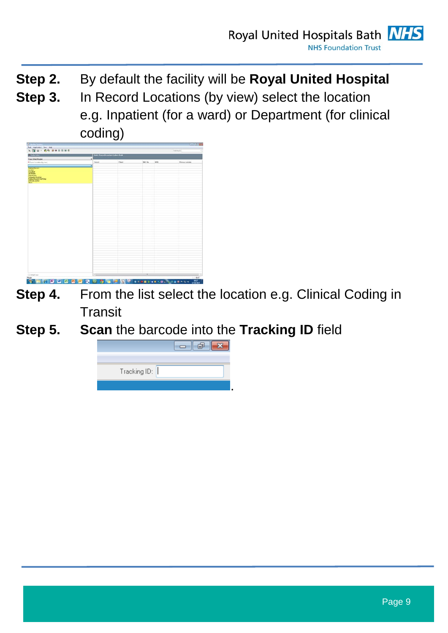- **Step 2.** By default the facility will be **Royal United Hospital**
- **Step 3.** In Record Locations (by view) select the location e.g. Inpatient (for a ward) or Department (for clinical coding)

| <b>All volv soles</b>                                                             | <b>Batch Decinil Location Vodeix Mode</b> |               |               |                      |                          |  |  |
|-----------------------------------------------------------------------------------|-------------------------------------------|---------------|---------------|----------------------|--------------------------|--|--|
| <b>Raw University plays</b>                                                       | ×1                                        |               |               |                      |                          |  |  |
| * Faced Location By view)                                                         | Front Committee of the Committee          | Paet<br>_____ | teri su-      | <b>MFRA</b><br>_____ | <b>Ferrelux Location</b> |  |  |
|                                                                                   | ۰                                         |               |               |                      |                          |  |  |
| <b>Made a Records</b><br><b>Power</b><br>Dasawar                                  |                                           |               |               |                      |                          |  |  |
| <b>Substant</b><br><b>Departments</b><br>Colomete Hughai<br>Madoa Rooses Scal Ony |                                           |               |               |                      |                          |  |  |
| Likind Locaters<br>Dees.                                                          |                                           |               |               |                      |                          |  |  |
|                                                                                   |                                           |               |               |                      |                          |  |  |
|                                                                                   |                                           |               |               |                      |                          |  |  |
|                                                                                   |                                           |               |               |                      |                          |  |  |
|                                                                                   |                                           |               |               |                      |                          |  |  |
|                                                                                   |                                           |               |               |                      |                          |  |  |
|                                                                                   |                                           |               |               |                      |                          |  |  |
|                                                                                   |                                           |               |               |                      |                          |  |  |
|                                                                                   |                                           |               |               |                      |                          |  |  |
|                                                                                   |                                           |               |               |                      |                          |  |  |
|                                                                                   |                                           |               |               |                      |                          |  |  |
|                                                                                   |                                           |               |               |                      |                          |  |  |
|                                                                                   |                                           |               |               |                      |                          |  |  |
|                                                                                   |                                           |               |               |                      |                          |  |  |
|                                                                                   |                                           |               |               |                      |                          |  |  |
|                                                                                   |                                           |               |               |                      |                          |  |  |
|                                                                                   |                                           |               |               |                      |                          |  |  |
|                                                                                   |                                           |               |               |                      |                          |  |  |
|                                                                                   |                                           |               |               |                      |                          |  |  |
|                                                                                   |                                           |               |               |                      |                          |  |  |
|                                                                                   |                                           |               |               |                      |                          |  |  |
|                                                                                   |                                           |               |               |                      |                          |  |  |
|                                                                                   |                                           |               |               |                      |                          |  |  |
|                                                                                   |                                           |               |               |                      |                          |  |  |
|                                                                                   |                                           |               |               |                      |                          |  |  |
|                                                                                   |                                           |               |               |                      |                          |  |  |
|                                                                                   |                                           |               |               |                      |                          |  |  |
|                                                                                   |                                           |               |               |                      |                          |  |  |
| <b>Citative</b>                                                                   | $\epsilon$                                |               | $\mathcal{A}$ |                      | $-1$                     |  |  |

- **Step 4.** From the list select the location e.g. Clinical Coding in **Transit**
- **Step 5. Scan** the barcode into the **Tracking ID** field

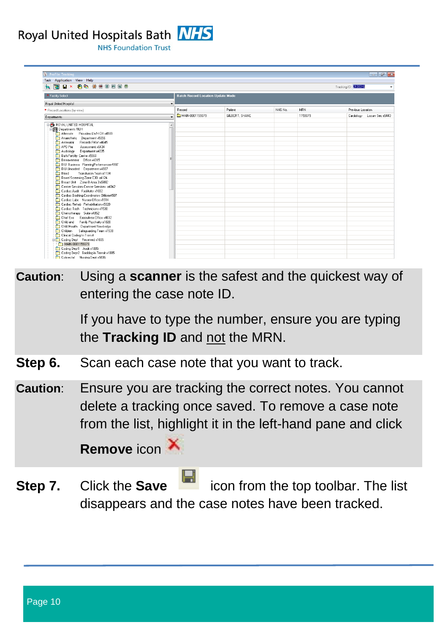Royal United Hospitals Bath **NHS** 

**NHS Foundation Trust** 

 $\Box$   $\Box$  $(1)$   $P$ Task Application View Help **QQ Bx 60 000000** Tracking ID: 2130318 \* Facility Select .<br>Batch Record Location Update Mod Royal United Hospital \* Record Locations (by view)<br> **Departments**<br> **Exercise to the COM**<br> **Departments** BUH<br> **Exerce** BUH<br> **Exerce** BUH<br> **Exerce** BUH<br> **Alternate** Providers LWH 01f x4189<br> **Anherstein Cross Constant X6565**<br> **COM**<br> **Anderstal Re** Record Patient NHS No. MRN Previous Location Record Locations (by view) Cardiology Locum Sec x5443 **COMMUNICATION** GILBERT SHANE 1159079 Departments Coding Dept1 Audit x1005<br>Coding Dept1 Audit x1005<br>Coding Dept2 Backlog in Transit x1005

**Caution**: Using a **scanner** is the safest and the quickest way of entering the case note ID.

> If you have to type the number, ensure you are typing the **Tracking ID** and not the MRN.

- **Step 6.** Scan each case note that you want to track.
- **Caution**: Ensure you are tracking the correct notes. You cannot delete a tracking once saved. To remove a case note from the list, highlight it in the left-hand pane and click

**Remove** icon

**Step 7.** Click the **Save in the top toolbar.** The list disappears and the case notes have been tracked.